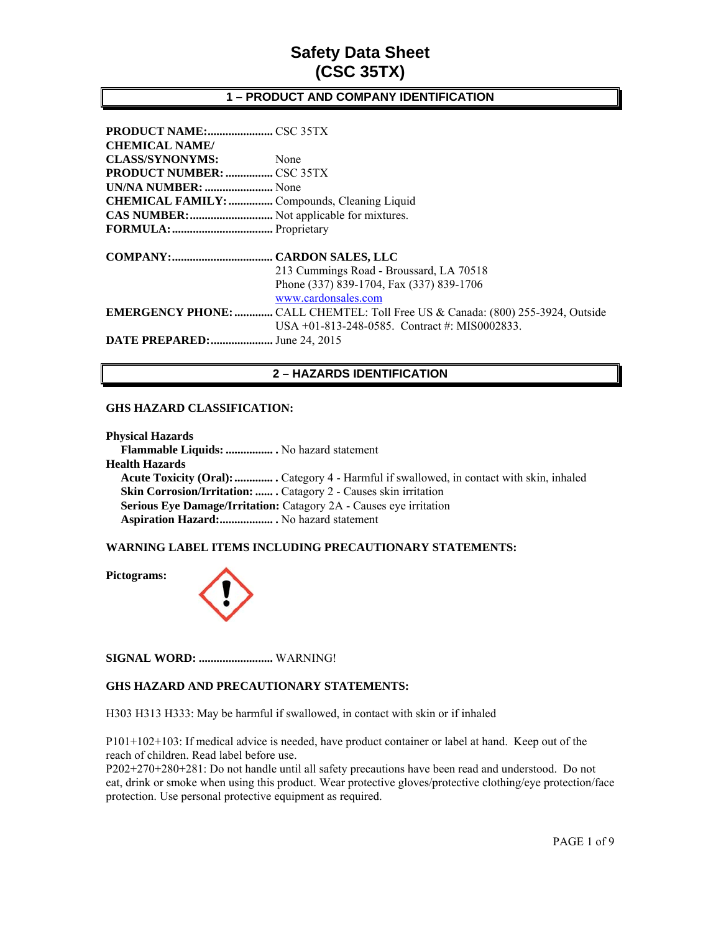### **1 – PRODUCT AND COMPANY IDENTIFICATION**

| <b>CHEMICAL NAME/</b>                               |                                                                                       |
|-----------------------------------------------------|---------------------------------------------------------------------------------------|
| <b>CLASS/SYNONYMS:</b>                              | None                                                                                  |
|                                                     |                                                                                       |
| UN/NA NUMBER:  None                                 |                                                                                       |
| <b>CHEMICAL FAMILY: </b> Compounds, Cleaning Liquid |                                                                                       |
| CAS NUMBER:  Not applicable for mixtures.           |                                                                                       |
|                                                     |                                                                                       |
|                                                     |                                                                                       |
|                                                     | 213 Cummings Road - Broussard, LA 70518                                               |
|                                                     | Phone (337) 839-1704, Fax (337) 839-1706                                              |
|                                                     |                                                                                       |
|                                                     | www.cardonsales.com                                                                   |
|                                                     | <b>EMERGENCY PHONE: </b> CALL CHEMTEL: Toll Free US & Canada: (800) 255-3924, Outside |
|                                                     | USA +01-813-248-0585. Contract #: MIS0002833.                                         |

## **2 – HAZARDS IDENTIFICATION**

#### **GHS HAZARD CLASSIFICATION:**

**Physical Hazards Flammable Liquids: ................ .** No hazard statement **Health Hazards Acute Toxicity (Oral): ............. .** Category 4 - Harmful if swallowed, in contact with skin, inhaled **Skin Corrosion/Irritation: .......** Catagory 2 - Causes skin irritation  **Serious Eye Damage/Irritation:** Catagory 2A - Causes eye irritation  **Aspiration Hazard:.................. .** No hazard statement

### **WARNING LABEL ITEMS INCLUDING PRECAUTIONARY STATEMENTS:**

**Pictograms:** 



**SIGNAL WORD: .........................** WARNING!

### **GHS HAZARD AND PRECAUTIONARY STATEMENTS:**

H303 H313 H333: May be harmful if swallowed, in contact with skin or if inhaled

P101+102+103: If medical advice is needed, have product container or label at hand. Keep out of the reach of children. Read label before use.

P202+270+280+281: Do not handle until all safety precautions have been read and understood. Do not eat, drink or smoke when using this product. Wear protective gloves/protective clothing/eye protection/face protection. Use personal protective equipment as required.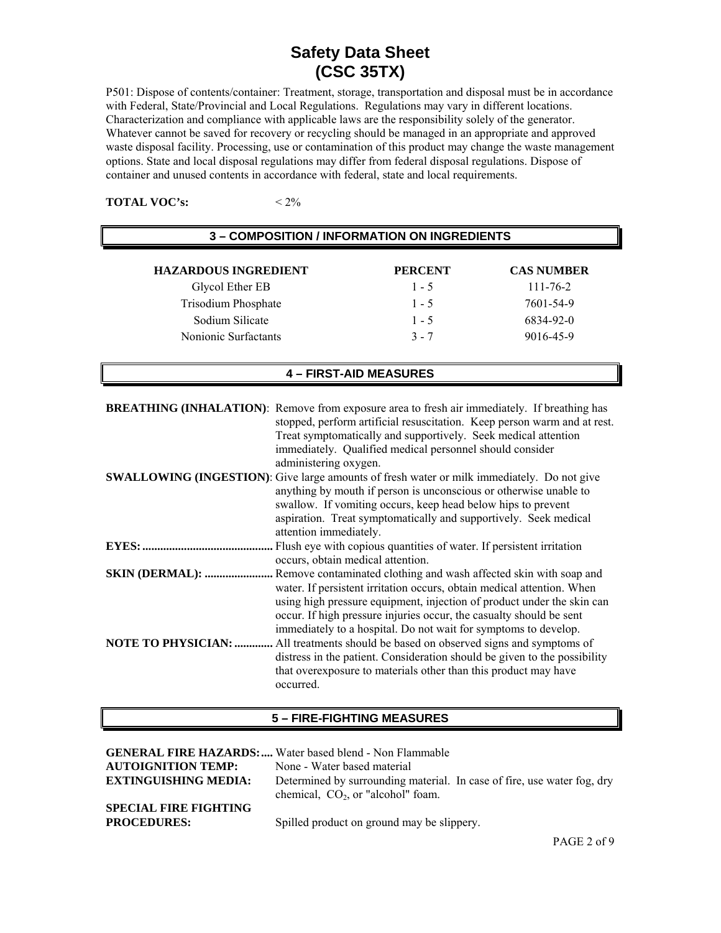P501: Dispose of contents/container: Treatment, storage, transportation and disposal must be in accordance with Federal, State/Provincial and Local Regulations. Regulations may vary in different locations. Characterization and compliance with applicable laws are the responsibility solely of the generator. Whatever cannot be saved for recovery or recycling should be managed in an appropriate and approved waste disposal facility. Processing, use or contamination of this product may change the waste management options. State and local disposal regulations may differ from federal disposal regulations. Dispose of container and unused contents in accordance with federal, state and local requirements.

**TOTAL VOC's:**  $\leq 2\%$ 

| <b>3 – COMPOSITION / INFORMATION ON INGREDIENTS</b> |                |                   |
|-----------------------------------------------------|----------------|-------------------|
| <b>HAZARDOUS INGREDIENT</b>                         | <b>PERCENT</b> | <b>CAS NUMBER</b> |
| Glycol Ether EB                                     | $1 - 5$        | $111 - 76 - 2$    |
| <b>Trisodium Phosphate</b>                          | $1 - 5$        | 7601-54-9         |
| Sodium Silicate                                     | $1 - 5$        | 6834-92-0         |
| Nonionic Surfactants                                | $3 - 7$        | 9016-45-9         |

## **4 – FIRST-AID MEASURES**

| <b>BREATHING (INHALATION):</b> Remove from exposure area to fresh air immediately. If breathing has<br>stopped, perform artificial resuscitation. Keep person warm and at rest.<br>Treat symptomatically and supportively. Seek medical attention<br>immediately. Qualified medical personnel should consider<br>administering oxygen. |
|----------------------------------------------------------------------------------------------------------------------------------------------------------------------------------------------------------------------------------------------------------------------------------------------------------------------------------------|
| <b>SWALLOWING (INGESTION)</b> : Give large amounts of fresh water or milk immediately. Do not give<br>anything by mouth if person is unconscious or otherwise unable to<br>swallow. If vomiting occurs, keep head below hips to prevent<br>aspiration. Treat symptomatically and supportively. Seek medical<br>attention immediately.  |
| Flush eye with copious quantities of water. If persistent irritation<br>occurs, obtain medical attention.                                                                                                                                                                                                                              |
| water. If persistent irritation occurs, obtain medical attention. When<br>using high pressure equipment, injection of product under the skin can<br>occur. If high pressure injuries occur, the casualty should be sent<br>immediately to a hospital. Do not wait for symptoms to develop.                                             |
| distress in the patient. Consideration should be given to the possibility<br>that overexposure to materials other than this product may have<br>occurred.                                                                                                                                                                              |

#### **5 – FIRE-FIGHTING MEASURES**

|                                                    | <b>GENERAL FIRE HAZARDS:</b> Water based blend - Non Flammable                                                  |
|----------------------------------------------------|-----------------------------------------------------------------------------------------------------------------|
| <b>AUTOIGNITION TEMP:</b>                          | None - Water based material                                                                                     |
| <b>EXTINGUISHING MEDIA:</b>                        | Determined by surrounding material. In case of fire, use water fog, dry<br>chemical, $CO2$ , or "alcohol" foam. |
| <b>SPECIAL FIRE FIGHTING</b><br><b>PROCEDURES:</b> | Spilled product on ground may be slippery.                                                                      |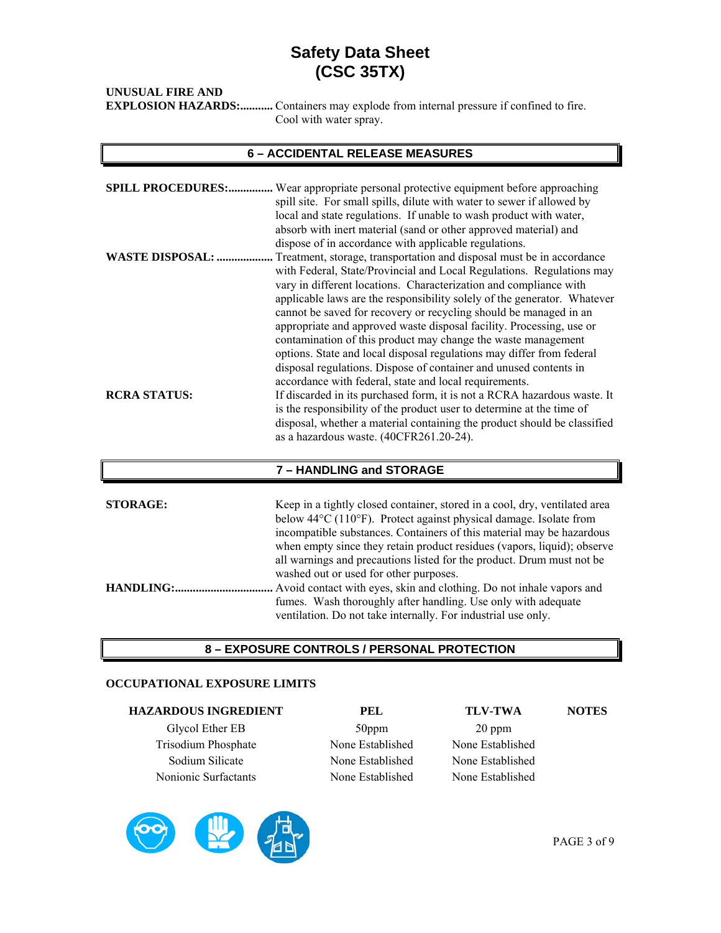| UNUSUAL FIRE AND |                                                                                              |
|------------------|----------------------------------------------------------------------------------------------|
|                  | <b>EXPLOSION HAZARDS:</b> Containers may explode from internal pressure if confined to fire. |
|                  | Cool with water spray.                                                                       |

## **6 – ACCIDENTAL RELEASE MEASURES**

| <b>WASTE DISPOSAL: </b> | <b>SPILL PROCEDURES:</b> Wear appropriate personal protective equipment before approaching<br>spill site. For small spills, dilute with water to sewer if allowed by<br>local and state regulations. If unable to wash product with water,<br>absorb with inert material (sand or other approved material) and<br>dispose of in accordance with applicable regulations.<br>Treatment, storage, transportation and disposal must be in accordance<br>with Federal, State/Provincial and Local Regulations. Regulations may<br>vary in different locations. Characterization and compliance with<br>applicable laws are the responsibility solely of the generator. Whatever                     |
|-------------------------|------------------------------------------------------------------------------------------------------------------------------------------------------------------------------------------------------------------------------------------------------------------------------------------------------------------------------------------------------------------------------------------------------------------------------------------------------------------------------------------------------------------------------------------------------------------------------------------------------------------------------------------------------------------------------------------------|
| <b>RCRA STATUS:</b>     | cannot be saved for recovery or recycling should be managed in an<br>appropriate and approved waste disposal facility. Processing, use or<br>contamination of this product may change the waste management<br>options. State and local disposal regulations may differ from federal<br>disposal regulations. Dispose of container and unused contents in<br>accordance with federal, state and local requirements.<br>If discarded in its purchased form, it is not a RCRA hazardous waste. It<br>is the responsibility of the product user to determine at the time of<br>disposal, whether a material containing the product should be classified<br>as a hazardous waste. (40CFR261.20-24). |
|                         | 7 - HANDLING and STORAGE                                                                                                                                                                                                                                                                                                                                                                                                                                                                                                                                                                                                                                                                       |
| <b>STORAGE:</b>         | Keep in a tightly closed container, stored in a cool, dry, ventilated area<br>below 44°C (110°F). Protect against physical damage. Isolate from<br>incompatible substances. Containers of this material may be hazardous<br>when empty since they retain product residues (vapors, liquid); observe                                                                                                                                                                                                                                                                                                                                                                                            |
| HANDLING:               | all warnings and precautions listed for the product. Drum must not be<br>washed out or used for other purposes.<br>Avoid contact with eyes, skin and clothing. Do not inhale vapors and<br>fumes. Wash thoroughly after handling. Use only with adequate<br>ventilation. Do not take internally. For industrial use only.                                                                                                                                                                                                                                                                                                                                                                      |

## **8 – EXPOSURE CONTROLS / PERSONAL PROTECTION**

### **OCCUPATIONAL EXPOSURE LIMITS**

| <b>HAZARDOUS INGREDIENT</b> | PEL              | <b>TLV-TWA</b>   | <b>NOTES</b> |
|-----------------------------|------------------|------------------|--------------|
| Glycol Ether EB             | 50ppm            | 20 ppm           |              |
| <b>Trisodium Phosphate</b>  | None Established | None Established |              |
| Sodium Silicate             | None Established | None Established |              |
| Nonionic Surfactants        | None Established | None Established |              |

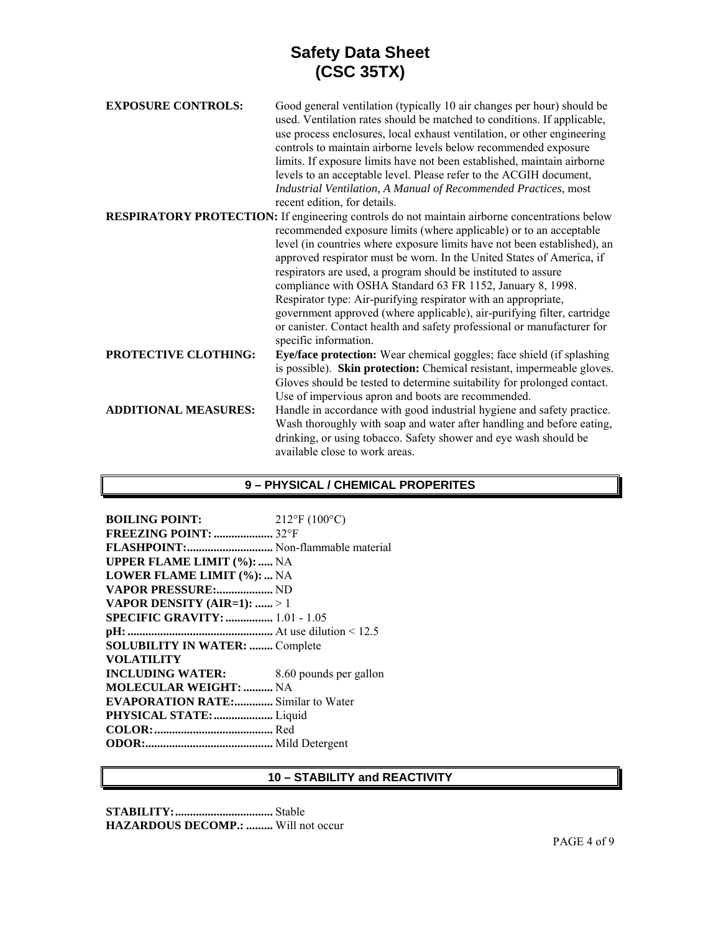| <b>EXPOSURE CONTROLS:</b>   | Good general ventilation (typically 10 air changes per hour) should be<br>used. Ventilation rates should be matched to conditions. If applicable,<br>use process enclosures, local exhaust ventilation, or other engineering<br>controls to maintain airborne levels below recommended exposure<br>limits. If exposure limits have not been established, maintain airborne<br>levels to an acceptable level. Please refer to the ACGIH document,<br>Industrial Ventilation, A Manual of Recommended Practices, most<br>recent edition, for details.                                                      |
|-----------------------------|----------------------------------------------------------------------------------------------------------------------------------------------------------------------------------------------------------------------------------------------------------------------------------------------------------------------------------------------------------------------------------------------------------------------------------------------------------------------------------------------------------------------------------------------------------------------------------------------------------|
|                             | <b>RESPIRATORY PROTECTION:</b> If engineering controls do not maintain airborne concentrations below                                                                                                                                                                                                                                                                                                                                                                                                                                                                                                     |
|                             | recommended exposure limits (where applicable) or to an acceptable<br>level (in countries where exposure limits have not been established), an<br>approved respirator must be worn. In the United States of America, if<br>respirators are used, a program should be instituted to assure<br>compliance with OSHA Standard 63 FR 1152, January 8, 1998.<br>Respirator type: Air-purifying respirator with an appropriate,<br>government approved (where applicable), air-purifying filter, cartridge<br>or canister. Contact health and safety professional or manufacturer for<br>specific information. |
| <b>PROTECTIVE CLOTHING:</b> | Eye/face protection: Wear chemical goggles; face shield (if splashing<br>is possible). Skin protection: Chemical resistant, impermeable gloves.<br>Gloves should be tested to determine suitability for prolonged contact.<br>Use of impervious apron and boots are recommended.                                                                                                                                                                                                                                                                                                                         |
| <b>ADDITIONAL MEASURES:</b> | Handle in accordance with good industrial hygiene and safety practice.<br>Wash thoroughly with soap and water after handling and before eating,<br>drinking, or using tobacco. Safety shower and eye wash should be<br>available close to work areas.                                                                                                                                                                                                                                                                                                                                                    |

## **9 – PHYSICAL / CHEMICAL PROPERITES**

| <b>BOILING POINT:</b>                     | $212^{\circ}$ F (100 $^{\circ}$ C) |
|-------------------------------------------|------------------------------------|
| FREEZING POINT:  32°F                     |                                    |
| FLASHPOINT: Non-flammable material        |                                    |
| <b>UPPER FLAME LIMIT (%):  NA</b>         |                                    |
| <b>LOWER FLAME LIMIT (%):  NA</b>         |                                    |
| VAPOR PRESSURE: ND                        |                                    |
| VAPOR DENSITY (AIR=1):  > 1               |                                    |
| <b>SPECIFIC GRAVITY: </b> 1.01 - 1.05     |                                    |
|                                           |                                    |
| <b>SOLUBILITY IN WATER:  Complete</b>     |                                    |
| <b>VOLATILITY</b>                         |                                    |
| <b>INCLUDING WATER:</b>                   | 8.60 pounds per gallon             |
| <b>MOLECULAR WEIGHT:  NA</b>              |                                    |
| <b>EVAPORATION RATE:</b> Similar to Water |                                    |
| PHYSICAL STATE:  Liquid                   |                                    |
|                                           |                                    |
|                                           |                                    |
|                                           |                                    |

## **10 – STABILITY and REACTIVITY**

**STABILITY: .................................** Stable **HAZARDOUS DECOMP.: .........** Will not occur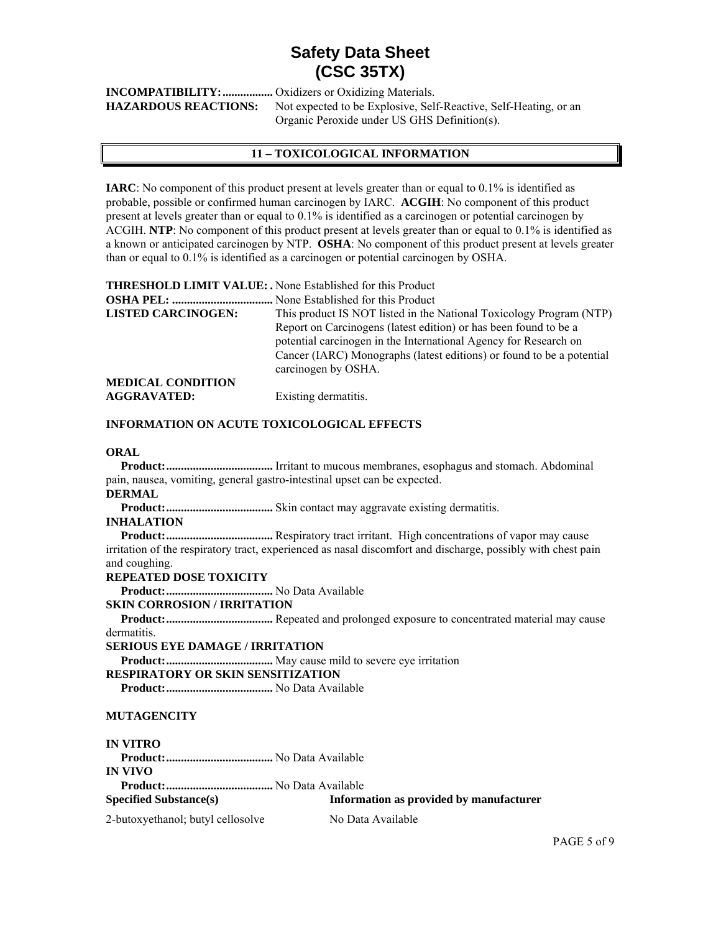**INCOMPATIBILITY: .................** Oxidizers or Oxidizing Materials. **HAZARDOUS REACTIONS:** Not expected to be Explosive, Self-Reactive, Self-Heating, or an Organic Peroxide under US GHS Definition(s).

### **11 – TOXICOLOGICAL INFORMATION**

**IARC**: No component of this product present at levels greater than or equal to 0.1% is identified as probable, possible or confirmed human carcinogen by IARC. **ACGIH**: No component of this product present at levels greater than or equal to 0.1% is identified as a carcinogen or potential carcinogen by ACGIH. **NTP**: No component of this product present at levels greater than or equal to 0.1% is identified as a known or anticipated carcinogen by NTP. **OSHA**: No component of this product present at levels greater than or equal to 0.1% is identified as a carcinogen or potential carcinogen by OSHA.

**THRESHOLD LIMIT VALUE: .** None Established for this Product

| <b>LISTED CARCINOGEN:</b> | This product IS NOT listed in the National Toxicology Program (NTP)   |
|---------------------------|-----------------------------------------------------------------------|
|                           | Report on Carcinogens (latest edition) or has been found to be a      |
|                           | potential carcinogen in the International Agency for Research on      |
|                           | Cancer (IARC) Monographs (latest editions) or found to be a potential |
|                           | carcinogen by OSHA.                                                   |
| <b>MEDICAL CONDITION</b>  |                                                                       |
| <b>AGGRAVATED:</b>        | Existing dermatitis.                                                  |

#### **INFORMATION ON ACUTE TOXICOLOGICAL EFFECTS**

#### **ORAL**

 **Product: ....................................** Irritant to mucous membranes, esophagus and stomach. Abdominal pain, nausea, vomiting, general gastro-intestinal upset can be expected.

#### **DERMAL**

 **Product: ....................................** Skin contact may aggravate existing dermatitis.

#### **INHALATION**

 **Product: ....................................** Respiratory tract irritant. High concentrations of vapor may cause irritation of the respiratory tract, experienced as nasal discomfort and discharge, possibly with chest pain and coughing.

#### **REPEATED DOSE TOXICITY**

 **Product: ....................................** No Data Available

#### **SKIN CORROSION / IRRITATION**

 **Product: ....................................** Repeated and prolonged exposure to concentrated material may cause dermatitis.

#### **SERIOUS EYE DAMAGE / IRRITATION**

 **Product: ....................................** May cause mild to severe eye irritation

#### **RESPIRATORY OR SKIN SENSITIZATION**

 **Product: ....................................** No Data Available

#### **MUTAGENCITY**

**IN VITRO Product: ....................................** No Data Available **IN VIVO Product: ....................................** No Data Available **Specified Substance(s) Information as provided by manufacturer** 

2-butoxyethanol; butyl cellosolve No Data Available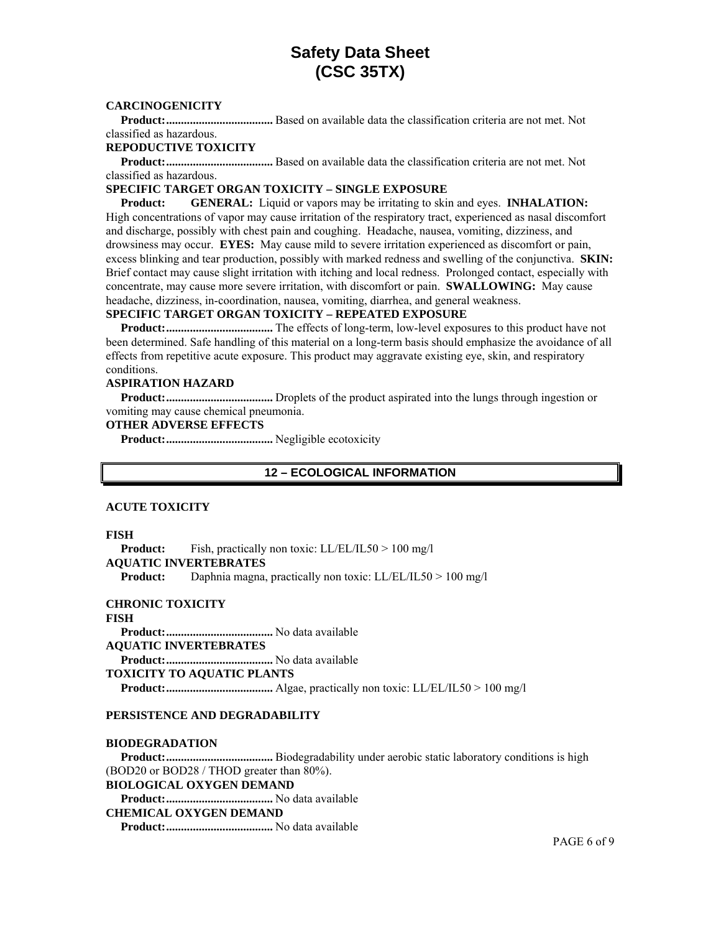#### **CARCINOGENICITY**

 **Product: ....................................** Based on available data the classification criteria are not met. Not classified as hazardous.

#### **REPODUCTIVE TOXICITY**

 **Product: ....................................** Based on available data the classification criteria are not met. Not classified as hazardous.

#### **SPECIFIC TARGET ORGAN TOXICITY – SINGLE EXPOSURE**

 **Product: GENERAL:** Liquid or vapors may be irritating to skin and eyes. **INHALATION:** High concentrations of vapor may cause irritation of the respiratory tract, experienced as nasal discomfort and discharge, possibly with chest pain and coughing. Headache, nausea, vomiting, dizziness, and drowsiness may occur. **EYES:** May cause mild to severe irritation experienced as discomfort or pain, excess blinking and tear production, possibly with marked redness and swelling of the conjunctiva. **SKIN:**  Brief contact may cause slight irritation with itching and local redness. Prolonged contact, especially with concentrate, may cause more severe irritation, with discomfort or pain. **SWALLOWING:** May cause headache, dizziness, in-coordination, nausea, vomiting, diarrhea, and general weakness.

#### **SPECIFIC TARGET ORGAN TOXICITY – REPEATED EXPOSURE**

 **Product: ....................................** The effects of long-term, low-level exposures to this product have not been determined. Safe handling of this material on a long-term basis should emphasize the avoidance of all effects from repetitive acute exposure. This product may aggravate existing eye, skin, and respiratory conditions.

#### **ASPIRATION HAZARD**

 **Product: ....................................** Droplets of the product aspirated into the lungs through ingestion or vomiting may cause chemical pneumonia.

#### **OTHER ADVERSE EFFECTS**

 **Product: ....................................** Negligible ecotoxicity

#### **12 – ECOLOGICAL INFORMATION**

#### **ACUTE TOXICITY**

#### **FISH**

**Product:** Fish, practically non toxic: LL/EL/IL50 > 100 mg/l **AQUATIC INVERTEBRATES Product:** Daphnia magna, practically non toxic: LL/EL/IL50 > 100 mg/l

#### **CHRONIC TOXICITY**

**FISH Product: ....................................** No data available **AQUATIC INVERTEBRATES Product: ....................................** No data available **TOXICITY TO AQUATIC PLANTS Product: ....................................** Algae, practically non toxic: LL/EL/IL50 > 100 mg/l

#### **PERSISTENCE AND DEGRADABILITY**

#### **BIODEGRADATION**

 **Product: ....................................** Biodegradability under aerobic static laboratory conditions is high (BOD20 or BOD28 / THOD greater than 80%). **BIOLOGICAL OXYGEN DEMAND** 

 **Product: ....................................** No data available

### **CHEMICAL OXYGEN DEMAND**

 **Product: ....................................** No data available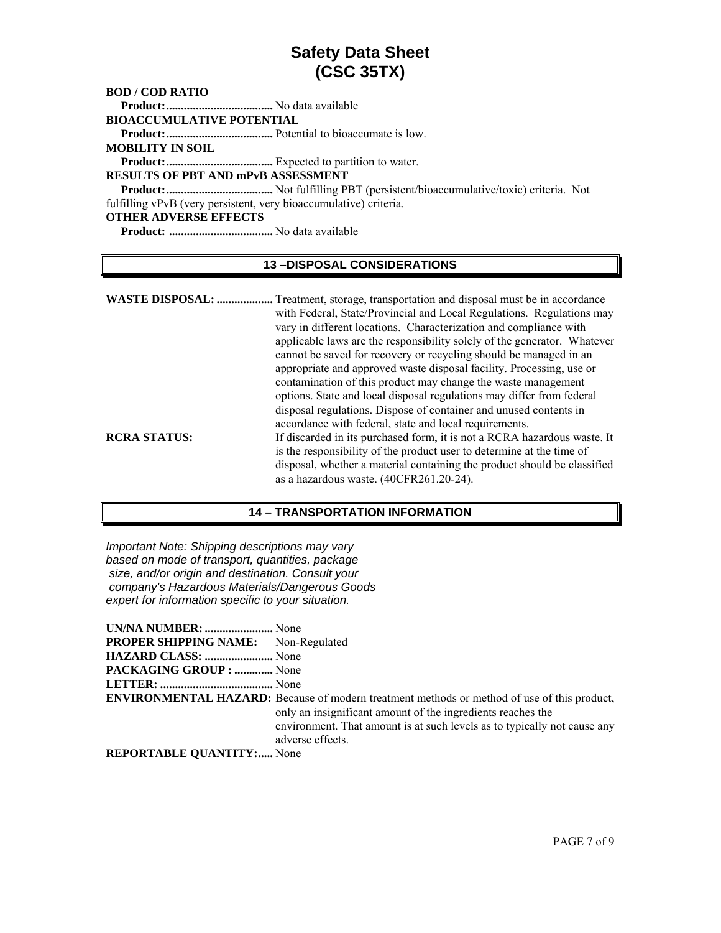### **BOD / COD RATIO**

 **Product: ....................................** No data available

**BIOACCUMULATIVE POTENTIAL** 

 **Product: ....................................** Potential to bioaccumate is low.

**MOBILITY IN SOIL** 

 **Product: ....................................** Expected to partition to water.

## **RESULTS OF PBT AND mPvB ASSESSMENT**

 **Product: ....................................** Not fulfilling PBT (persistent/bioaccumulative/toxic) criteria. Not fulfilling vPvB (very persistent, very bioaccumulative) criteria.

#### **OTHER ADVERSE EFFECTS**

 **Product: ...................................** No data available

### **13 –DISPOSAL CONSIDERATIONS**

| applicable laws are the responsibility solely of the generator. Whatever<br>cannot be saved for recovery or recycling should be managed in an<br>appropriate and approved waste disposal facility. Processing, use or<br>contamination of this product may change the waste management<br>options. State and local disposal regulations may differ from federal                                         |
|---------------------------------------------------------------------------------------------------------------------------------------------------------------------------------------------------------------------------------------------------------------------------------------------------------------------------------------------------------------------------------------------------------|
| disposal regulations. Dispose of container and unused contents in<br>accordance with federal, state and local requirements.<br>If discarded in its purchased form, it is not a RCRA hazardous waste. It<br>is the responsibility of the product user to determine at the time of<br>disposal, whether a material containing the product should be classified<br>as a hazardous waste. (40CFR261.20-24). |
|                                                                                                                                                                                                                                                                                                                                                                                                         |

#### **14 – TRANSPORTATION INFORMATION**

*Important Note: Shipping descriptions may vary based on mode of transport, quantities, package size, and/or origin and destination. Consult your company's Hazardous Materials/Dangerous Goods expert for information specific to your situation.* 

| UN/NA NUMBER:  None                        |                                                                                                                                                                                                                                                                   |
|--------------------------------------------|-------------------------------------------------------------------------------------------------------------------------------------------------------------------------------------------------------------------------------------------------------------------|
| <b>PROPER SHIPPING NAME:</b> Non-Regulated |                                                                                                                                                                                                                                                                   |
| HAZARD CLASS:  None                        |                                                                                                                                                                                                                                                                   |
| <b>PACKAGING GROUP : </b> None             |                                                                                                                                                                                                                                                                   |
|                                            |                                                                                                                                                                                                                                                                   |
|                                            | <b>ENVIRONMENTAL HAZARD:</b> Because of modern treatment methods or method of use of this product,<br>only an insignificant amount of the ingredients reaches the<br>environment. That amount is at such levels as to typically not cause any<br>adverse effects. |
| <b>REPORTABLE QUANTITY:</b> None           |                                                                                                                                                                                                                                                                   |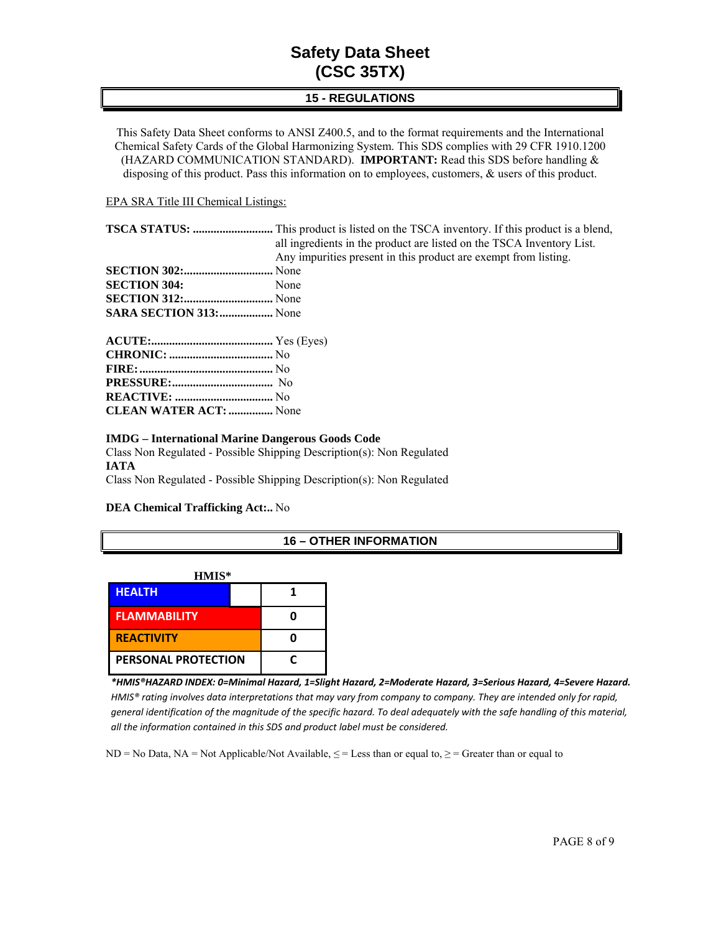## **15 - REGULATIONS**

This Safety Data Sheet conforms to ANSI Z400.5, and to the format requirements and the International Chemical Safety Cards of the Global Harmonizing System. This SDS complies with 29 CFR 1910.1200 (HAZARD COMMUNICATION STANDARD). **IMPORTANT:** Read this SDS before handling & disposing of this product. Pass this information on to employees, customers, & users of this product.

#### EPA SRA Title III Chemical Listings:

|                               | <b>TSCA STATUS: </b> This product is listed on the TSCA inventory. If this product is a blend, |
|-------------------------------|------------------------------------------------------------------------------------------------|
|                               | all ingredients in the product are listed on the TSCA Inventory List.                          |
|                               | Any impurities present in this product are exempt from listing.                                |
|                               |                                                                                                |
| <b>SECTION 304:</b> None      |                                                                                                |
|                               |                                                                                                |
| <b>SARA SECTION 313:</b> None |                                                                                                |
|                               |                                                                                                |
|                               |                                                                                                |
|                               |                                                                                                |
|                               |                                                                                                |
|                               |                                                                                                |

**CLEAN WATER ACT: ...............** None

#### **IMDG – International Marine Dangerous Goods Code**

Class Non Regulated - Possible Shipping Description(s): Non Regulated **IATA**  Class Non Regulated - Possible Shipping Description(s): Non Regulated

#### **DEA Chemical Trafficking Act:..** No

#### **16 – OTHER INFORMATION**

| HMIS*                      |   |  |
|----------------------------|---|--|
| <b>HEALTH</b>              |   |  |
| <b>FLAMMABILITY</b>        |   |  |
| <b>REACTIVITY</b>          |   |  |
| <b>PERSONAL PROTECTION</b> | r |  |

*\*HMIS®HAZARD INDEX: 0=Minimal Hazard, 1=Slight Hazard, 2=Moderate Hazard, 3=Serious Hazard, 4=Severe Hazard.* HMIS® rating involves data interpretations that may vary from company to company. They are intended only for rapid, general identification of the magnitude of the specific hazard. To deal adequately with the safe handling of this material, *all the information contained in this SDS and product label must be considered.*

ND = No Data, NA = Not Applicable/Not Available,  $\leq$  = Less than or equal to,  $\geq$  = Greater than or equal to